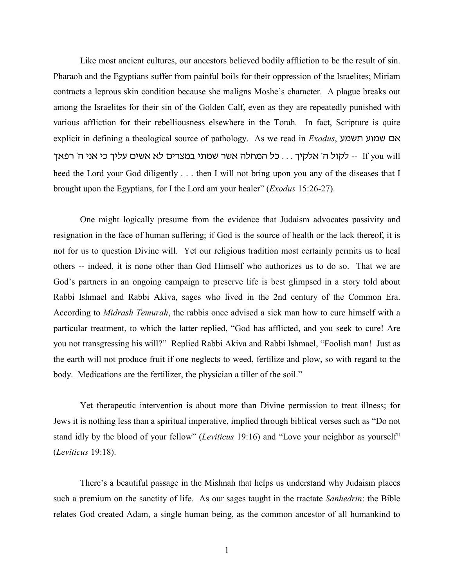Like most ancient cultures, our ancestors believed bodily affliction to be the result of sin. Pharaoh and the Egyptians suffer from painful boils for their oppression of the Israelites; Miriam contracts a leprous skin condition because she maligns Moshe's character. A plague breaks out among the Israelites for their sin of the Golden Calf, even as they are repeatedly punished with various affliction for their rebelliousness elsewhere in the Torah*.* In fact, Scripture is quite explicit in defining a theological source of pathology. As we read in *Exodus*, אם שמוע תשמע lt you will -- לקול ה' אלקיך ... כל המחלה אשר שמתי במצרים לא אשים עליך כי אני ה' רפאך heed the Lord your God diligently . . . then I will not bring upon you any of the diseases that I brought upon the Egyptians, for I the Lord am your healer" (*Exodus* 15:26-27).

One might logically presume from the evidence that Judaism advocates passivity and resignation in the face of human suffering; if God is the source of health or the lack thereof, it is not for us to question Divine will. Yet our religious tradition most certainly permits us to heal others -- indeed, it is none other than God Himself who authorizes us to do so. That we are God's partners in an ongoing campaign to preserve life is best glimpsed in a story told about Rabbi Ishmael and Rabbi Akiva, sages who lived in the 2nd century of the Common Era. According to *Midrash Temurah*, the rabbis once advised a sick man how to cure himself with a particular treatment, to which the latter replied, "God has afflicted, and you seek to cure! Are you not transgressing his will?" Replied Rabbi Akiva and Rabbi Ishmael, "Foolish man! Just as the earth will not produce fruit if one neglects to weed, fertilize and plow, so with regard to the body. Medications are the fertilizer, the physician a tiller of the soil."

Yet therapeutic intervention is about more than Divine permission to treat illness; for Jews it is nothing less than a spiritual imperative, implied through biblical verses such as "Do not stand idly by the blood of your fellow" (*Leviticus* 19:16) and "Love your neighbor as yourself" (*Leviticus* 19:18).

There's a beautiful passage in the Mishnah that helps us understand why Judaism places such a premium on the sanctity of life. As our sages taught in the tractate *Sanhedrin*: the Bible relates God created Adam, a single human being, as the common ancestor of all humankind to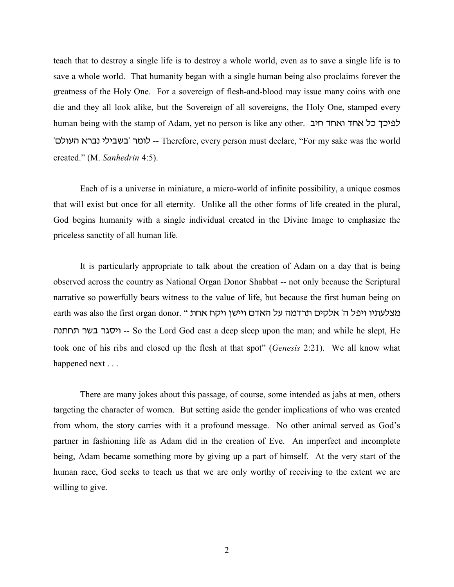teach that to destroy a single life is to destroy a whole world, even as to save a single life is to save a whole world. That humanity began with a single human being also proclaims forever the greatness of the Holy One. For a sovereign of flesh-and-blood may issue many coins with one die and they all look alike, but the Sovereign of all sovereigns, the Holy One, stamped every human being with the stamp of Adam, yet no person is like any other. לפיכך כל אחד ואחד י- לומר 'בשבילי נברא העולם' -- Therefore, every person must declare, "For my sake was the world created." (M. *Sanhedrin* 4:5).

Each of is a universe in miniature, a micro-world of infinite possibility, a unique cosmos that will exist but once for all eternity. Unlike all the other forms of life created in the plural, God begins humanity with a single individual created in the Divine Image to emphasize the priceless sanctity of all human life.

It is particularly appropriate to talk about the creation of Adam on a day that is being observed across the country as National Organ Donor Shabbat -- not only because the Scriptural narrative so powerfully bears witness to the value of life, but because the first human being on earth was also the first organ donor. " מצלעתיו ויפל ה' אלקים תרדמה על האדם ויישן ויקח אחת vb,j, rac rdxhu -- So the Lord God cast a deep sleep upon the man; and while he slept, He took one of his ribs and closed up the flesh at that spot" (*Genesis* 2:21). We all know what happened next . . .

There are many jokes about this passage, of course, some intended as jabs at men, others targeting the character of women. But setting aside the gender implications of who was created from whom, the story carries with it a profound message. No other animal served as God's partner in fashioning life as Adam did in the creation of Eve. An imperfect and incomplete being, Adam became something more by giving up a part of himself. At the very start of the human race, God seeks to teach us that we are only worthy of receiving to the extent we are willing to give.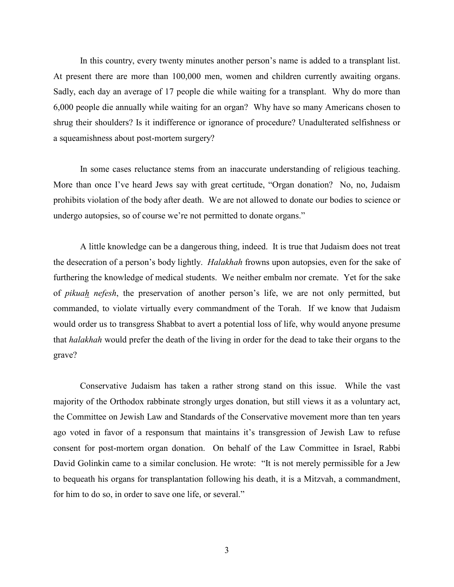In this country, every twenty minutes another person's name is added to a transplant list. At present there are more than 100,000 men, women and children currently awaiting organs. Sadly, each day an average of 17 people die while waiting for a transplant. Why do more than 6,000 people die annually while waiting for an organ? Why have so many Americans chosen to shrug their shoulders? Is it indifference or ignorance of procedure? Unadulterated selfishness or a squeamishness about post-mortem surgery?

In some cases reluctance stems from an inaccurate understanding of religious teaching. More than once I've heard Jews say with great certitude, "Organ donation? No, no, Judaism prohibits violation of the body after death. We are not allowed to donate our bodies to science or undergo autopsies, so of course we're not permitted to donate organs."

A little knowledge can be a dangerous thing, indeed. It is true that Judaism does not treat the desecration of a person's body lightly. *Halakhah* frowns upon autopsies, even for the sake of furthering the knowledge of medical students. We neither embalm nor cremate. Yet for the sake of *pikuah nefesh*, the preservation of another person's life, we are not only permitted, but commanded, to violate virtually every commandment of the Torah. If we know that Judaism would order us to transgress Shabbat to avert a potential loss of life, why would anyone presume that *halakhah* would prefer the death of the living in order for the dead to take their organs to the grave?

Conservative Judaism has taken a rather strong stand on this issue. While the vast majority of the Orthodox rabbinate strongly urges donation, but still views it as a voluntary act, the Committee on Jewish Law and Standards of the Conservative movement more than ten years ago voted in favor of a responsum that maintains it's transgression of Jewish Law to refuse consent for post-mortem organ donation. On behalf of the Law Committee in Israel, Rabbi David Golinkin came to a similar conclusion. He wrote: "It is not merely permissible for a Jew to bequeath his organs for transplantation following his death, it is a Mitzvah, a commandment, for him to do so, in order to save one life, or several."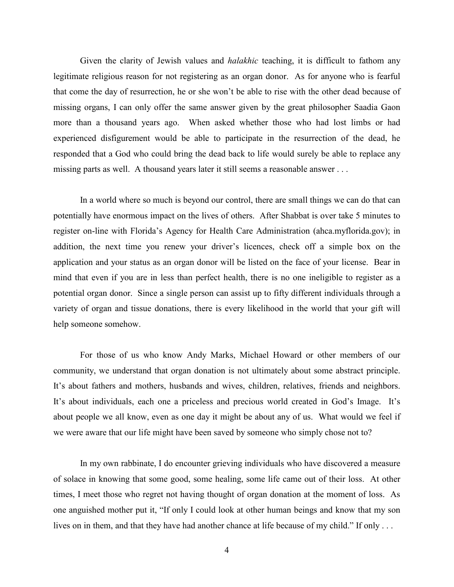Given the clarity of Jewish values and *halakhic* teaching, it is difficult to fathom any legitimate religious reason for not registering as an organ donor. As for anyone who is fearful that come the day of resurrection, he or she won't be able to rise with the other dead because of missing organs, I can only offer the same answer given by the great philosopher Saadia Gaon more than a thousand years ago. When asked whether those who had lost limbs or had experienced disfigurement would be able to participate in the resurrection of the dead, he responded that a God who could bring the dead back to life would surely be able to replace any missing parts as well. A thousand years later it still seems a reasonable answer . . .

In a world where so much is beyond our control, there are small things we can do that can potentially have enormous impact on the lives of others. After Shabbat is over take 5 minutes to register on-line with Florida's Agency for Health Care Administration (ahca.myflorida.gov); in addition, the next time you renew your driver's licences, check off a simple box on the application and your status as an organ donor will be listed on the face of your license. Bear in mind that even if you are in less than perfect health, there is no one ineligible to register as a potential organ donor. Since a single person can assist up to fifty different individuals through a variety of organ and tissue donations, there is every likelihood in the world that your gift will help someone somehow.

For those of us who know Andy Marks, Michael Howard or other members of our community, we understand that organ donation is not ultimately about some abstract principle. It's about fathers and mothers, husbands and wives, children, relatives, friends and neighbors. It's about individuals, each one a priceless and precious world created in God's Image. It's about people we all know, even as one day it might be about any of us. What would we feel if we were aware that our life might have been saved by someone who simply chose not to?

In my own rabbinate, I do encounter grieving individuals who have discovered a measure of solace in knowing that some good, some healing, some life came out of their loss. At other times, I meet those who regret not having thought of organ donation at the moment of loss. As one anguished mother put it, "If only I could look at other human beings and know that my son lives on in them, and that they have had another chance at life because of my child." If only . . .